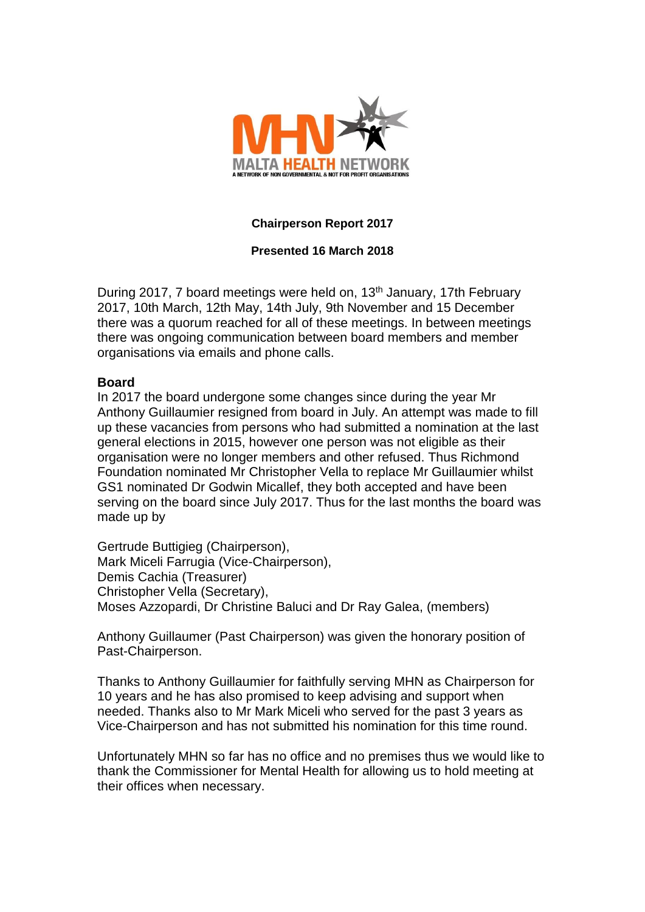

# **Chairperson Report 2017**

# **Presented 16 March 2018**

During 2017, 7 board meetings were held on, 13<sup>th</sup> January, 17th February 2017, 10th March, 12th May, 14th July, 9th November and 15 December there was a quorum reached for all of these meetings. In between meetings there was ongoing communication between board members and member organisations via emails and phone calls.

### **Board**

In 2017 the board undergone some changes since during the year Mr Anthony Guillaumier resigned from board in July. An attempt was made to fill up these vacancies from persons who had submitted a nomination at the last general elections in 2015, however one person was not eligible as their organisation were no longer members and other refused. Thus Richmond Foundation nominated Mr Christopher Vella to replace Mr Guillaumier whilst GS1 nominated Dr Godwin Micallef, they both accepted and have been serving on the board since July 2017. Thus for the last months the board was made up by

Gertrude Buttigieg (Chairperson), Mark Miceli Farrugia (Vice-Chairperson), Demis Cachia (Treasurer) Christopher Vella (Secretary), Moses Azzopardi, Dr Christine Baluci and Dr Ray Galea, (members)

Anthony Guillaumer (Past Chairperson) was given the honorary position of Past-Chairperson.

Thanks to Anthony Guillaumier for faithfully serving MHN as Chairperson for 10 years and he has also promised to keep advising and support when needed. Thanks also to Mr Mark Miceli who served for the past 3 years as Vice-Chairperson and has not submitted his nomination for this time round.

Unfortunately MHN so far has no office and no premises thus we would like to thank the Commissioner for Mental Health for allowing us to hold meeting at their offices when necessary.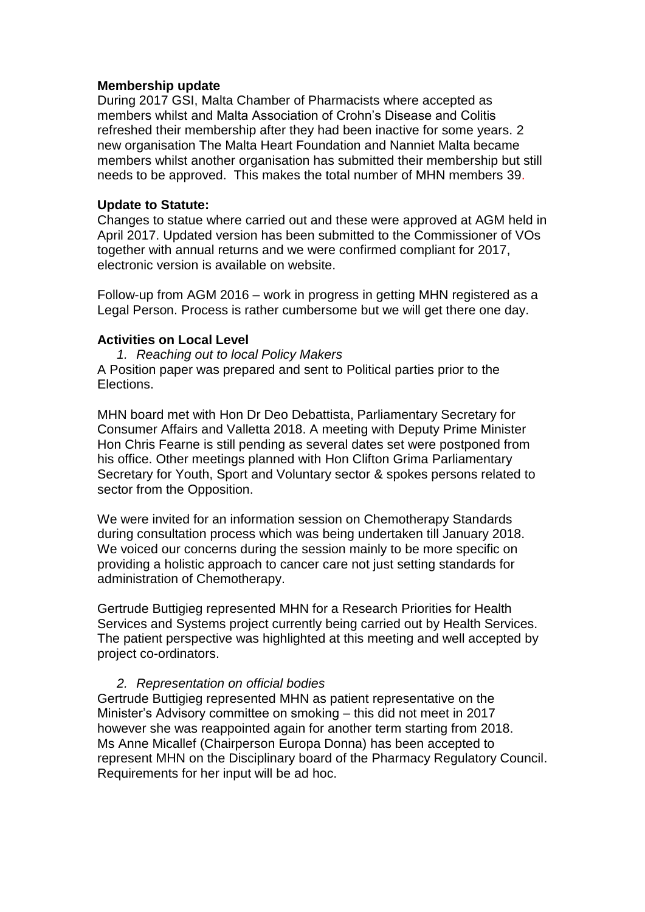# **Membership update**

During 2017 GSI, Malta Chamber of Pharmacists where accepted as members whilst and Malta Association of Crohn's Disease and Colitis refreshed their membership after they had been inactive for some years. 2 new organisation The Malta Heart Foundation and Nanniet Malta became members whilst another organisation has submitted their membership but still needs to be approved. This makes the total number of MHN members 39.

## **Update to Statute:**

Changes to statue where carried out and these were approved at AGM held in April 2017. Updated version has been submitted to the Commissioner of VOs together with annual returns and we were confirmed compliant for 2017, electronic version is available on website.

Follow-up from AGM 2016 – work in progress in getting MHN registered as a Legal Person. Process is rather cumbersome but we will get there one day.

### **Activities on Local Level**

*1. Reaching out to local Policy Makers*  A Position paper was prepared and sent to Political parties prior to the Elections.

MHN board met with Hon Dr Deo Debattista, Parliamentary Secretary for Consumer Affairs and Valletta 2018. A meeting with Deputy Prime Minister Hon Chris Fearne is still pending as several dates set were postponed from his office. Other meetings planned with Hon Clifton Grima Parliamentary Secretary for Youth, Sport and Voluntary sector & spokes persons related to sector from the Opposition.

We were invited for an information session on Chemotherapy Standards during consultation process which was being undertaken till January 2018. We voiced our concerns during the session mainly to be more specific on providing a holistic approach to cancer care not just setting standards for administration of Chemotherapy.

Gertrude Buttigieg represented MHN for a Research Priorities for Health Services and Systems project currently being carried out by Health Services. The patient perspective was highlighted at this meeting and well accepted by project co-ordinators.

# *2. Representation on official bodies*

Gertrude Buttigieg represented MHN as patient representative on the Minister's Advisory committee on smoking – this did not meet in 2017 however she was reappointed again for another term starting from 2018. Ms Anne Micallef (Chairperson Europa Donna) has been accepted to represent MHN on the Disciplinary board of the Pharmacy Regulatory Council. Requirements for her input will be ad hoc.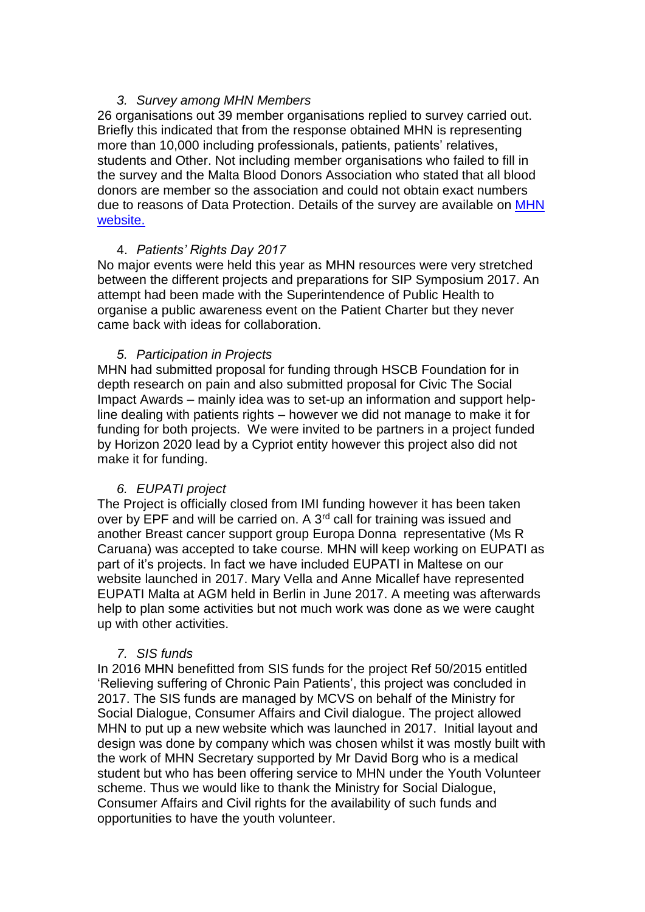# *3. Survey among MHN Members*

26 organisations out 39 member organisations replied to survey carried out. Briefly this indicated that from the response obtained MHN is representing more than 10,000 including professionals, patients, patients' relatives, students and Other. Not including member organisations who failed to fill in the survey and the Malta Blood Donors Association who stated that all blood donors are member so the association and could not obtain exact numbers due to reasons of Data Protection. Details of the survey are available on [MHN](http://www.maltahealthnetwork.org/history-of-mhn/year-2018/)  [website.](http://www.maltahealthnetwork.org/history-of-mhn/year-2018/)

# 4. *Patients' Rights Day 2017*

No major events were held this year as MHN resources were very stretched between the different projects and preparations for SIP Symposium 2017. An attempt had been made with the Superintendence of Public Health to organise a public awareness event on the Patient Charter but they never came back with ideas for collaboration.

# *5. Participation in Projects*

MHN had submitted proposal for funding through HSCB Foundation for in depth research on pain and also submitted proposal for Civic The Social Impact Awards – mainly idea was to set-up an information and support helpline dealing with patients rights – however we did not manage to make it for funding for both projects. We were invited to be partners in a project funded by Horizon 2020 lead by a Cypriot entity however this project also did not make it for funding.

# *6. EUPATI project*

The Project is officially closed from IMI funding however it has been taken over by EPF and will be carried on. A 3<sup>rd</sup> call for training was issued and another Breast cancer support group Europa Donna representative (Ms R Caruana) was accepted to take course. MHN will keep working on EUPATI as part of it's projects. In fact we have included EUPATI in Maltese on our website launched in 2017. Mary Vella and Anne Micallef have represented EUPATI Malta at AGM held in Berlin in June 2017. A meeting was afterwards help to plan some activities but not much work was done as we were caught up with other activities.

# *7. SIS funds*

In 2016 MHN benefitted from SIS funds for the project Ref 50/2015 entitled 'Relieving suffering of Chronic Pain Patients', this project was concluded in 2017. The SIS funds are managed by MCVS on behalf of the Ministry for Social Dialogue, Consumer Affairs and Civil dialogue. The project allowed MHN to put up a new website which was launched in 2017. Initial layout and design was done by company which was chosen whilst it was mostly built with the work of MHN Secretary supported by Mr David Borg who is a medical student but who has been offering service to MHN under the Youth Volunteer scheme. Thus we would like to thank the Ministry for Social Dialogue, Consumer Affairs and Civil rights for the availability of such funds and opportunities to have the youth volunteer.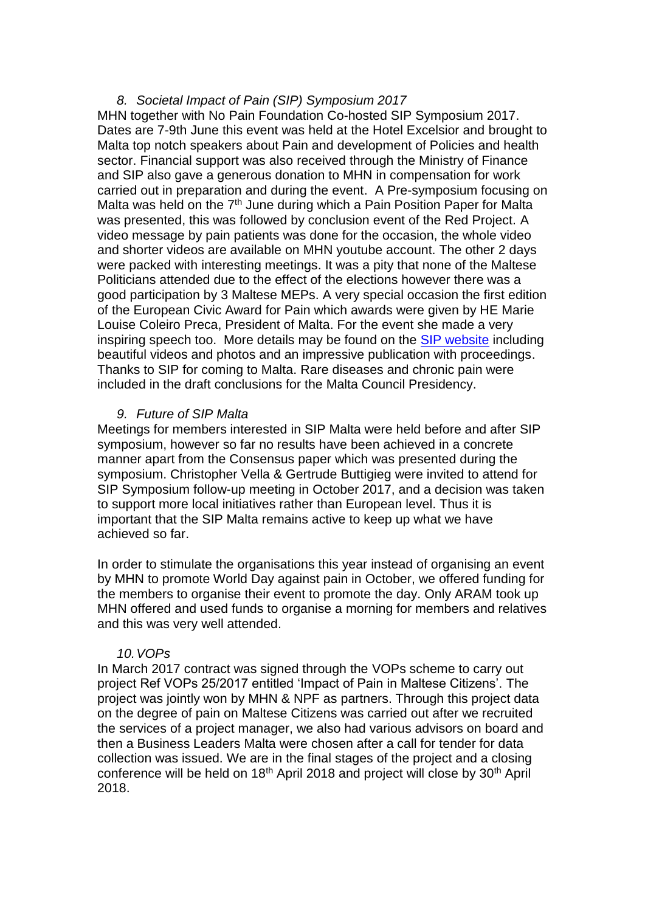## *8. Societal Impact of Pain (SIP) Symposium 2017*

MHN together with No Pain Foundation Co-hosted SIP Symposium 2017. Dates are 7-9th June this event was held at the Hotel Excelsior and brought to Malta top notch speakers about Pain and development of Policies and health sector. Financial support was also received through the Ministry of Finance and SIP also gave a generous donation to MHN in compensation for work carried out in preparation and during the event. A Pre-symposium focusing on Malta was held on the  $7<sup>th</sup>$  June during which a Pain Position Paper for Malta was presented, this was followed by conclusion event of the Red Project. A video message by pain patients was done for the occasion, the whole video and shorter videos are available on MHN youtube account. The other 2 days were packed with interesting meetings. It was a pity that none of the Maltese Politicians attended due to the effect of the elections however there was a good participation by 3 Maltese MEPs. A very special occasion the first edition of the European Civic Award for Pain which awards were given by HE Marie Louise Coleiro Preca, President of Malta. For the event she made a very inspiring speech too. More details may be found on the [SIP website](https://www.sip-platform.eu/) including beautiful videos and photos and an impressive publication with proceedings. Thanks to SIP for coming to Malta. Rare diseases and chronic pain were included in the draft conclusions for the Malta Council Presidency.

### *9. Future of SIP Malta*

Meetings for members interested in SIP Malta were held before and after SIP symposium, however so far no results have been achieved in a concrete manner apart from the Consensus paper which was presented during the symposium. Christopher Vella & Gertrude Buttigieg were invited to attend for SIP Symposium follow-up meeting in October 2017, and a decision was taken to support more local initiatives rather than European level. Thus it is important that the SIP Malta remains active to keep up what we have achieved so far.

In order to stimulate the organisations this year instead of organising an event by MHN to promote World Day against pain in October, we offered funding for the members to organise their event to promote the day. Only ARAM took up MHN offered and used funds to organise a morning for members and relatives and this was very well attended.

### *10.VOPs*

In March 2017 contract was signed through the VOPs scheme to carry out project Ref VOPs 25/2017 entitled 'Impact of Pain in Maltese Citizens'. The project was jointly won by MHN & NPF as partners. Through this project data on the degree of pain on Maltese Citizens was carried out after we recruited the services of a project manager, we also had various advisors on board and then a Business Leaders Malta were chosen after a call for tender for data collection was issued. We are in the final stages of the project and a closing conference will be held on 18<sup>th</sup> April 2018 and project will close by 30<sup>th</sup> April 2018.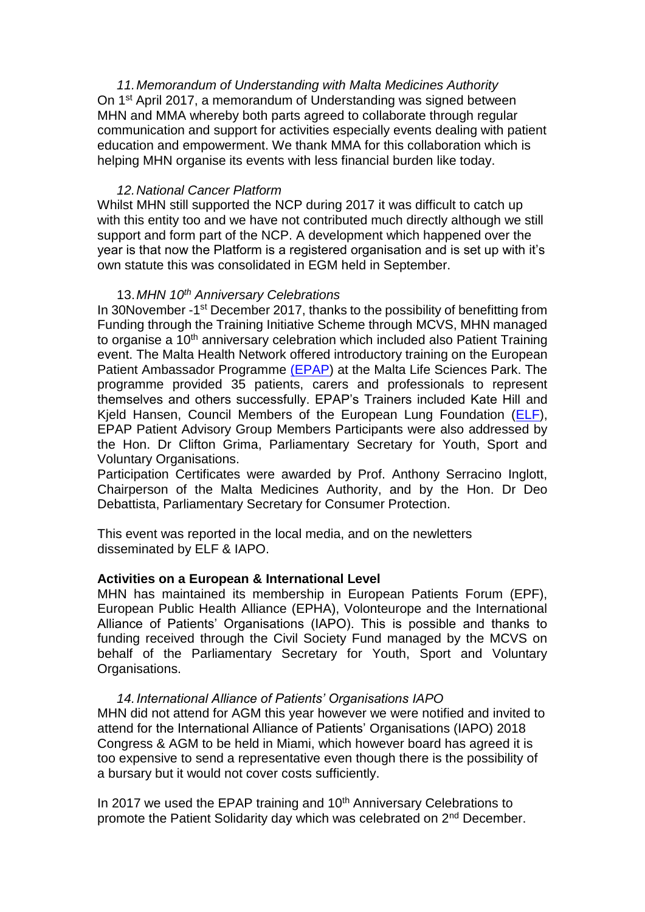*11.Memorandum of Understanding with Malta Medicines Authority* On 1st April 2017, a memorandum of Understanding was signed between MHN and MMA whereby both parts agreed to collaborate through regular communication and support for activities especially events dealing with patient education and empowerment. We thank MMA for this collaboration which is helping MHN organise its events with less financial burden like today.

### *12.National Cancer Platform*

Whilst MHN still supported the NCP during 2017 it was difficult to catch up with this entity too and we have not contributed much directly although we still support and form part of the NCP. A development which happened over the year is that now the Platform is a registered organisation and is set up with it's own statute this was consolidated in EGM held in September.

#### 13.*MHN 10th Anniversary Celebrations*

In 30November -1<sup>st</sup> December 2017, thanks to the possibility of benefitting from Funding through the Training Initiative Scheme through MCVS, MHN managed to organise a 10<sup>th</sup> anniversary celebration which included also Patient Training event. The Malta Health Network offered introductory training on the European Patient Ambassador Programme [\(EPAP\)](https://www.epaponline.org/) at the Malta Life Sciences Park. The programme provided 35 patients, carers and professionals to represent themselves and others successfully. EPAP's Trainers included Kate Hill and Kjeld Hansen, Council Members of the European Lung Foundation [\(ELF\)](http://www.europeanlung.org/en/), EPAP Patient Advisory Group Members Participants were also addressed by the Hon. Dr Clifton Grima, Parliamentary Secretary for Youth, Sport and Voluntary Organisations.

Participation Certificates were awarded by Prof. Anthony Serracino Inglott, Chairperson of the Malta Medicines Authority, and by the Hon. Dr Deo Debattista, Parliamentary Secretary for Consumer Protection.

This event was reported in the local media, and on the newletters disseminated by ELF & IAPO.

### **Activities on a European & International Level**

MHN has maintained its membership in European Patients Forum (EPF), European Public Health Alliance (EPHA), Volonteurope and the International Alliance of Patients' Organisations (IAPO). This is possible and thanks to funding received through the Civil Society Fund managed by the MCVS on behalf of the Parliamentary Secretary for Youth, Sport and Voluntary Organisations.

#### *14.International Alliance of Patients' Organisations IAPO*

MHN did not attend for AGM this year however we were notified and invited to attend for the International Alliance of Patients' Organisations (IAPO) 2018 Congress & AGM to be held in Miami, which however board has agreed it is too expensive to send a representative even though there is the possibility of a bursary but it would not cover costs sufficiently.

In 2017 we used the EPAP training and 10<sup>th</sup> Anniversary Celebrations to promote the Patient Solidarity day which was celebrated on 2<sup>nd</sup> December.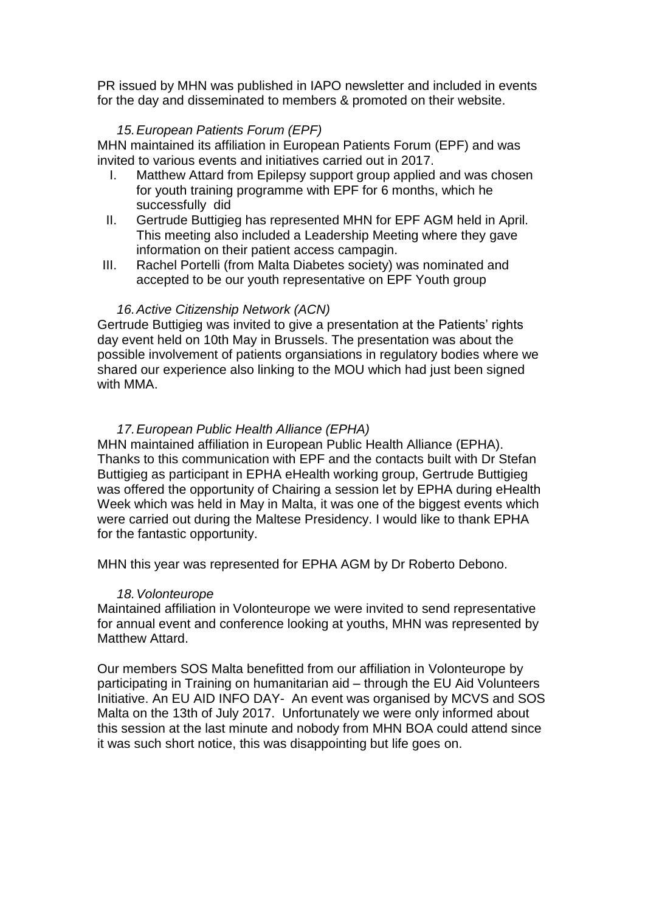PR issued by MHN was published in IAPO newsletter and included in events for the day and disseminated to members & promoted on their website.

## *15.European Patients Forum (EPF)*

MHN maintained its affiliation in European Patients Forum (EPF) and was invited to various events and initiatives carried out in 2017.

- I. Matthew Attard from Epilepsy support group applied and was chosen for youth training programme with EPF for 6 months, which he successfully did
- II. Gertrude Buttigieg has represented MHN for EPF AGM held in April. This meeting also included a Leadership Meeting where they gave information on their patient access campagin.
- III. Rachel Portelli (from Malta Diabetes society) was nominated and accepted to be our youth representative on EPF Youth group

### *16.Active Citizenship Network (ACN)*

Gertrude Buttigieg was invited to give a presentation at the Patients' rights day event held on 10th May in Brussels. The presentation was about the possible involvement of patients organsiations in regulatory bodies where we shared our experience also linking to the MOU which had just been signed with MMA.

### *17.European Public Health Alliance (EPHA)*

MHN maintained affiliation in European Public Health Alliance (EPHA). Thanks to this communication with EPF and the contacts built with Dr Stefan Buttigieg as participant in EPHA eHealth working group, Gertrude Buttigieg was offered the opportunity of Chairing a session let by EPHA during eHealth Week which was held in May in Malta, it was one of the biggest events which were carried out during the Maltese Presidency. I would like to thank EPHA for the fantastic opportunity.

MHN this year was represented for EPHA AGM by Dr Roberto Debono.

### *18.Volonteurope*

Maintained affiliation in Volonteurope we were invited to send representative for annual event and conference looking at youths, MHN was represented by Matthew Attard.

Our members SOS Malta benefitted from our affiliation in Volonteurope by participating in Training on humanitarian aid – through the EU Aid Volunteers Initiative. An EU AID INFO DAY- An event was organised by MCVS and SOS Malta on the 13th of July 2017. Unfortunately we were only informed about this session at the last minute and nobody from MHN BOA could attend since it was such short notice, this was disappointing but life goes on.